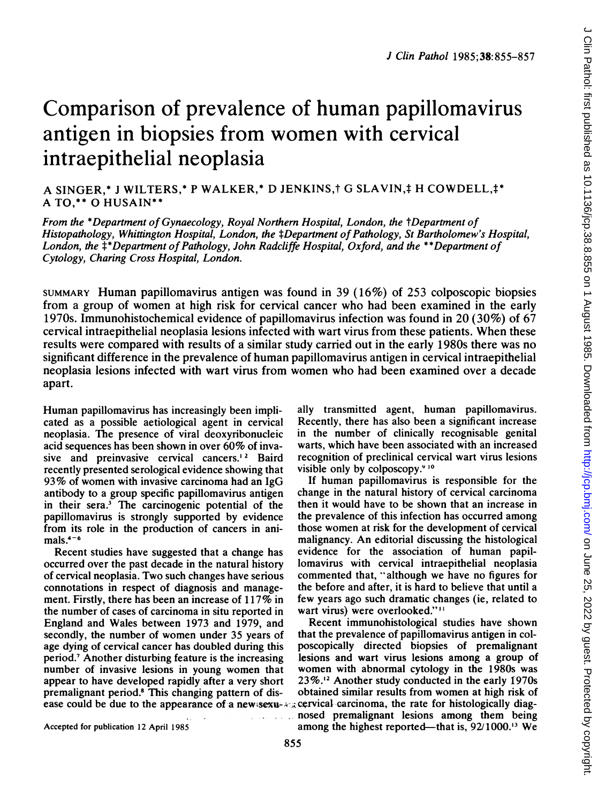# Comparison of prevalence of human papillomavirus antigen in biopsies from women with cervical intraepithelial neoplasia

A SINGER,\* J WILTERS,\* P WALKER,\* D JENKINS,† G SLAVIN,‡ H COWDELL,‡\* A TO,\*\* 0 HUSAIN\*\*

From the \*Department of Gynaecology, Royal Northern Hospital, London, the tDepartment of Histopathology, Whittington Hospital, London, the ‡Department of Pathology, St Bartholomew's Hospital, London, the  $\ddagger$ \*Department of Pathology, John Radcliffe Hospital, Oxford, and the \*\*Department of Cytology, Charing Cross Hospital, London.

SUMMARY Human papillomavirus antigen was found in 39 (16%) of 253 colposcopic biopsies from <sup>a</sup> group of women at high risk for cervical cancer who had been examined in the early 1970s. Immunohistochemical evidence of papillomavirus infection was found in 20 (30%) of 67 cervical intraepithelial neoplasia lesions infected with wart virus from these patients. When these results were compared with results of a similar study carried out in the early 1980s there was no significant difference in the prevalence of human papillomavirus antigen in cervical intraepithelial neoplasia lesions infected with wart virus from women who had been examined over <sup>a</sup> decade apart.

Human papillomavirus has increasingly been implicated as a possible aetiological agent in cervical neoplasia. The presence of viral deoxyribonucleic acid sequences has been shown in over 60% of invasive and preinvasive cervical cancers.<sup>12</sup> Baird recently presented serological evidence showing that 93% of women with invasive carcinoma had an IgG antibody to a group specific papillomavirus antigen in their sera.3 The carcinogenic potential of the papillomavirus is strongly supported by evidence from its role in the production of cancers in animals. $4-6$ 

Recent studies have suggested that a change has occurred over the past decade in the natural history of cervical neoplasia. Two such changes have serious connotations in respect of diagnosis and management. Firstly, there has been an increase of 117% in the number of cases of carcinoma in situ reported in England and Wales between 1973 and 1979, and secondly, the number of women under 35 years of age dying of cervical cancer has doubled during this period.7 Another disturbing feature is the increasing number of invasive lesions in young women that appear to have developed rapidly after a very short premalignant period.8 This changing pattern of disally transmitted agent, human papillomavirus. Recently, there has also been a significant increase in the number of clinically recognisable genital warts, which have been associated with an increased recognition of preclinical cervical wart virus lesions visible only by colposcopy.<sup>910</sup>

If human papillomavirus is responsible for the change in the natural history of cervical carcinoma then it would have to be shown that an increase in the prevalence of this infection has occurred among those women at risk for the development of cervical malignancy. An editorial discussing the histological evidence for the association of human papillomavirus with cervical intraepithelial neoplasia commented that, "although we have no figures for the before and after, it is hard to believe that until a few years ago such dramatic changes (ie, related to wart virus) were overlooked."<sup>11</sup>

ease could be due to the appearance of a new sexu- $\lambda$  cervical carcinoma, the rate for histologically diag-Recent immunohistological studies have shown that the prevalence of papillomavirus antigen in colposcopically directed biopsies of premalignant lesions and wart virus lesions among a group of women with abnormal cytology in the 1980s was 23%.12 Another study conducted in the early 1970s obtained similar results from women at high risk of . nosed premalignant lesions among them being among the highest reported-that is, 92/1000.<sup>13</sup> We

Accepted for publication 12 April 1985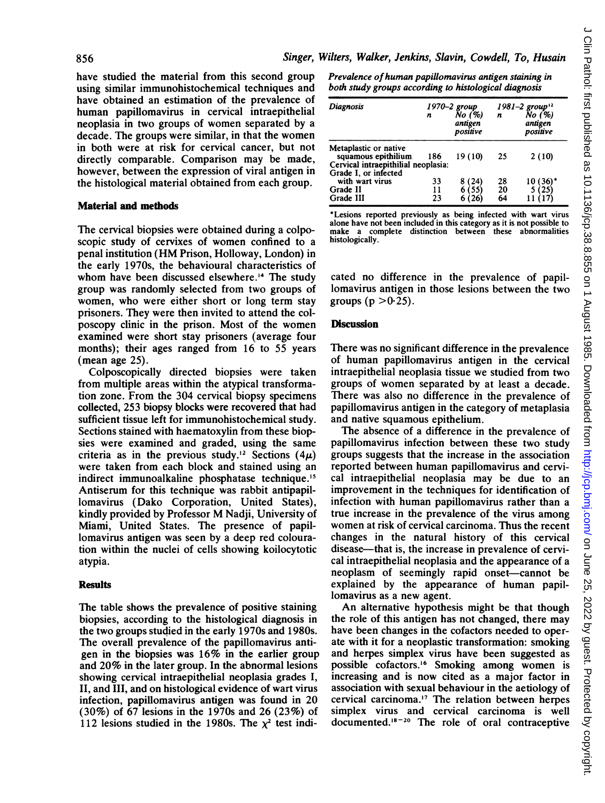have studied the material from this second group using similar immunohistochemical techniques and have obtained an estimation of the prevalence of human papillomavirus in cervical intraepithelial neoplasia in two groups of women separated by a decade. The groups were similar, in that the women in both were at risk for cervical cancer, but not directly comparable. Comparison may be made, however, between the expression of viral antigen in the histological material obtained from each group.

#### Material and methods

The cervical biopsies were obtained during a colposcopic study of cervixes of women confined to a penal institution (HM Prison, Holloway, London) in the early 1970s, the behavioural characteristics of whom have been discussed elsewhere.'4 The study group was randomly selected from two groups of women, who were either short or long term stay prisoners. They were then invited to attend the colposcopy clinic in the prison. Most of the women examined were short stay prisoners (average four months); their ages ranged from 16 to 55 years (mean age 25).

Colposcopically directed biopsies were taken from multiple areas within the atypical transformation zone. From the 304 cervical biopsy specimens collected, 253 biopsy blocks were recovered that had sufficient tissue left for immunohistochemical study. Sections stained with haematoxylin from these biopsies were examined and graded, using the same criteria as in the previous study.<sup>12</sup> Sections (4 $\mu$ ) were taken from each block and stained using an indirect immunoalkaline phosphatase technique.'5 Antiserum for this technique was rabbit antipapillomavirus (Dako Corporation, United States), kindly provided by Professor M Nadji, University of Miami, United States. The presence of papillomavirus antigen was seen by a deep red colouration within the nuclei of cells showing koilocytotic atypia.

## **Results**

The table shows the prevalence of positive staining biopsies, according to the histological diagnosis in the two groups studied in the early 1970s and 1980s. The overall prevalence of the papillomavirus antigen in the biopsies was 16% in the earlier group and 20% in the later group. In the abnormal lesions showing cervical intraepithelial neoplasia grades I, II, and III, and on histological evidence of wart virus infection, papillomavirus antigen was found in 20 (30%) of 67 lesions in the 1970s and 26 (23%) of 112 lesions studied in the 1980s. The  $x^2$  test indiPrevalence of human papillomavirus antigen staining in both study groups according to histological diagnosis

| <b>Diagnosis</b>                                                                     | n              | $1970-2$ group<br>No (%)<br>antigen<br>positive | n                     | 1981-2 group <sup>12</sup><br>No (%)<br>antigen<br>positive |
|--------------------------------------------------------------------------------------|----------------|-------------------------------------------------|-----------------------|-------------------------------------------------------------|
| Metaplastic or native<br>squamous epithilium.<br>Cervical intraepithilial neoplasia: | 186            | 19 (10)                                         | 25                    | 2(10)                                                       |
| Grade I, or infected<br>with wart virus<br>Grade II<br>Grade III                     | 33<br>11<br>23 | 8 (24)<br>6(55)                                 | 28<br>$\frac{20}{64}$ | 10 (36)<br>5 (25)                                           |

\*Lesions reported previously as being infected with wart virus alone have not been included in this category as it is not possible to make a complete distinction between these abnormalities histologically.

cated no difference in the prevalence of papillomavirus antigen in those lesions between the two groups ( $p > 0.25$ ).

## **Discussion**

There was no significant difference in the prevalence of human papillomavirus antigen in the cervical intraepithelial neoplasia tissue we studied from two groups of women separated by at least a decade. There was also no difference in the prevalence of papillomavirus antigen in the category of metaplasia and native squamous epithelium.

The absence of a difference in the prevalence of papillomavirus infection between these two study groups suggests that the increase in the association reported between human papillomavirus and cervical intraepithelial neoplasia may be due to an improvement in the techniques for identification of infection with human papillomavirus rather than a true increase in the prevalence of the virus among women at risk of cervical carcinoma. Thus the recent changes in the natural history of this cervical disease—that is, the increase in prevalence of cervical intraepithelial neoplasia and the appearance of a neoplasm of seemingly rapid onset—cannot be explained by the appearance of human papillomavirus as a new agent.

An alternative hypothesis might be that though the role of this antigen has not changed, there may have been changes in the cofactors needed to operate with it for a neoplastic transformation: smoking and herpes simplex virus have been suggested as possible cofactors.'6 Smoking among women is increasing and is now cited as a major factor in association with sexual behaviour in the aetiology of cervical carcinoma.'7 The relation between herpes simplex virus and cervical carcinoma is well documented.'8-20 The role of oral contraceptive